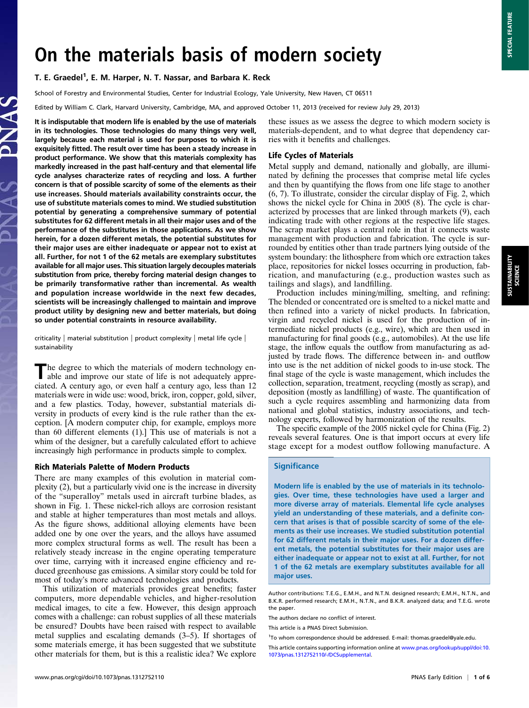# On the materials basis of modern society

## T. E. Graedel<sup>1</sup>, E. M. Harper, N. T. Nassar, and Barbara K. Reck

School of Forestry and Environmental Studies, Center for Industrial Ecology, Yale University, New Haven, CT 06511

Edited by William C. Clark, Harvard University, Cambridge, MA, and approved October 11, 2013 (received for review July 29, 2013)

It is indisputable that modern life is enabled by the use of materials in its technologies. Those technologies do many things very well, largely because each material is used for purposes to which it is exquisitely fitted. The result over time has been a steady increase in product performance. We show that this materials complexity has markedly increased in the past half-century and that elemental life cycle analyses characterize rates of recycling and loss. A further concern is that of possible scarcity of some of the elements as their use increases. Should materials availability constraints occur, the use of substitute materials comes to mind. We studied substitution potential by generating a comprehensive summary of potential substitutes for 62 different metals in all their major uses and of the performance of the substitutes in those applications. As we show herein, for a dozen different metals, the potential substitutes for their major uses are either inadequate or appear not to exist at all. Further, for not 1 of the 62 metals are exemplary substitutes available for all major uses. This situation largely decouples materials substitution from price, thereby forcing material design changes to be primarily transformative rather than incremental. As wealth and population increase worldwide in the next few decades, scientists will be increasingly challenged to maintain and improve product utility by designing new and better materials, but doing so under potential constraints in resource availability.

criticality | material substitution | product complexity | metal life cycle | sustainability

The degree to which the materials of modern technology enable and improve our state of life is not adequately appreciated. A century ago, or even half a century ago, less than 12 materials were in wide use: wood, brick, iron, copper, gold, silver, and a few plastics. Today, however, substantial materials diversity in products of every kind is the rule rather than the exception. [A modern computer chip, for example, employs more than 60 different elements (1).] This use of materials is not a whim of the designer, but a carefully calculated effort to achieve increasingly high performance in products simple to complex.

#### Rich Materials Palette of Modern Products

There are many examples of this evolution in material complexity (2), but a particularly vivid one is the increase in diversity of the "superalloy" metals used in aircraft turbine blades, as shown in Fig. 1. These nickel-rich alloys are corrosion resistant and stable at higher temperatures than most metals and alloys. As the figure shows, additional alloying elements have been added one by one over the years, and the alloys have assumed more complex structural forms as well. The result has been a relatively steady increase in the engine operating temperature over time, carrying with it increased engine efficiency and reduced greenhouse gas emissions. A similar story could be told for most of today's more advanced technologies and products.

This utilization of materials provides great benefits; faster computers, more dependable vehicles, and higher-resolution medical images, to cite a few. However, this design approach comes with a challenge: can robust supplies of all these materials be ensured? Doubts have been raised with respect to available metal supplies and escalating demands (3–5). If shortages of some materials emerge, it has been suggested that we substitute other materials for them, but is this a realistic idea? We explore these issues as we assess the degree to which modern society is materials-dependent, and to what degree that dependency carries with it benefits and challenges.

### Life Cycles of Materials

Metal supply and demand, nationally and globally, are illuminated by defining the processes that comprise metal life cycles and then by quantifying the flows from one life stage to another (6, 7). To illustrate, consider the circular display of Fig. 2, which shows the nickel cycle for China in 2005 (8). The cycle is characterized by processes that are linked through markets (9), each indicating trade with other regions at the respective life stages. The scrap market plays a central role in that it connects waste management with production and fabrication. The cycle is surrounded by entities other than trade partners lying outside of the system boundary: the lithosphere from which ore extraction takes place, repositories for nickel losses occurring in production, fabrication, and manufacturing (e.g., production wastes such as tailings and slags), and landfilling.

Production includes mining/milling, smelting, and refining: The blended or concentrated ore is smelted to a nickel matte and then refined into a variety of nickel products. In fabrication, virgin and recycled nickel is used for the production of intermediate nickel products (e.g., wire), which are then used in manufacturing for final goods (e.g., automobiles). At the use life stage, the inflow equals the outflow from manufacturing as adjusted by trade flows. The difference between in- and outflow into use is the net addition of nickel goods to in-use stock. The final stage of the cycle is waste management, which includes the collection, separation, treatment, recycling (mostly as scrap), and deposition (mostly as landfilling) of waste. The quantification of such a cycle requires assembling and harmonizing data from national and global statistics, industry associations, and technology experts, followed by harmonization of the results.

The specific example of the 2005 nickel cycle for China (Fig. 2) reveals several features. One is that import occurs at every life stage except for a modest outflow following manufacture. A

#### **Significance**

Modern life is enabled by the use of materials in its technologies. Over time, these technologies have used a larger and more diverse array of materials. Elemental life cycle analyses yield an understanding of these materials, and a definite concern that arises is that of possible scarcity of some of the elements as their use increases. We studied substitution potential for 62 different metals in their major uses. For a dozen different metals, the potential substitutes for their major uses are either inadequate or appear not to exist at all. Further, for not 1 of the 62 metals are exemplary substitutes available for all major uses.

Author contributions: T.E.G., E.M.H., and N.T.N. designed research; E.M.H., N.T.N., and B.K.R. performed research; E.M.H., N.T.N., and B.K.R. analyzed data; and T.E.G. wrote the paper.

The authors declare no conflict of interest.

<sup>1</sup>To whom correspondence should be addressed. E-mail: [thomas.graedel@yale.edu](mailto:thomas.graedel@yale.edu).

This article is a PNAS Direct Submission.

This article contains supporting information online at [www.pnas.org/lookup/suppl/doi:10.](http://www.pnas.org/lookup/suppl/doi:10.1073/pnas.1312752110/-/DCSupplemental) [1073/pnas.1312752110/-/DCSupplemental](http://www.pnas.org/lookup/suppl/doi:10.1073/pnas.1312752110/-/DCSupplemental).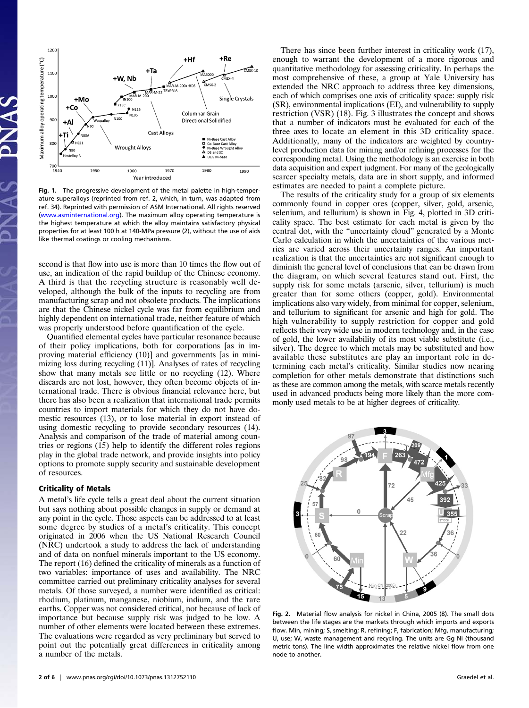

Fig. 1. The progressive development of the metal palette in high-temperature superalloys (reprinted from ref. 2, which, in turn, was adapted from ref. 34). Reprinted with permission of ASM International. All rights reserved [\(www.asminternational.org](http://www.asminternational.org)). The maximum alloy operating temperature is the highest temperature at which the alloy maintains satisfactory physical properties for at least 100 h at 140-MPa pressure (2), without the use of aids like thermal coatings or cooling mechanisms.

second is that flow into use is more than 10 times the flow out of use, an indication of the rapid buildup of the Chinese economy. A third is that the recycling structure is reasonably well developed, although the bulk of the inputs to recycling are from manufacturing scrap and not obsolete products. The implications are that the Chinese nickel cycle was far from equilibrium and highly dependent on international trade, neither feature of which was properly understood before quantification of the cycle.

Quantified elemental cycles have particular resonance because of their policy implications, both for corporations [as in improving material efficiency (10)] and governments [as in minimizing loss during recycling (11)]. Analyses of rates of recycling show that many metals see little or no recycling (12). Where discards are not lost, however, they often become objects of international trade. There is obvious financial relevance here, but there has also been a realization that international trade permits countries to import materials for which they do not have domestic resources (13), or to lose material in export instead of using domestic recycling to provide secondary resources (14). Analysis and comparison of the trade of material among countries or regions (15) help to identify the different roles regions play in the global trade network, and provide insights into policy options to promote supply security and sustainable development of resources.

#### Criticality of Metals

A metal's life cycle tells a great deal about the current situation but says nothing about possible changes in supply or demand at any point in the cycle. Those aspects can be addressed to at least some degree by studies of a metal's criticality. This concept originated in 2006 when the US National Research Council (NRC) undertook a study to address the lack of understanding and of data on nonfuel minerals important to the US economy. The report (16) defined the criticality of minerals as a function of two variables: importance of uses and availability. The NRC committee carried out preliminary criticality analyses for several metals. Of those surveyed, a number were identified as critical: rhodium, platinum, manganese, niobium, indium, and the rare earths. Copper was not considered critical, not because of lack of importance but because supply risk was judged to be low. A number of other elements were located between these extremes. The evaluations were regarded as very preliminary but served to point out the potentially great differences in criticality among a number of the metals.

There has since been further interest in criticality work (17), enough to warrant the development of a more rigorous and quantitative methodology for assessing criticality. In perhaps the most comprehensive of these, a group at Yale University has extended the NRC approach to address three key dimensions, each of which comprises one axis of criticality space: supply risk (SR), environmental implications (EI), and vulnerability to supply restriction (VSR) (18). Fig. 3 illustrates the concept and shows that a number of indicators must be evaluated for each of the three axes to locate an element in this 3D criticality space. Additionally, many of the indicators are weighted by countrylevel production data for mining and/or refining processes for the corresponding metal. Using the methodology is an exercise in both data acquisition and expert judgment. For many of the geologically scarcer specialty metals, data are in short supply, and informed estimates are needed to paint a complete picture.

The results of the criticality study for a group of six elements commonly found in copper ores (copper, silver, gold, arsenic, selenium, and tellurium) is shown in Fig. 4, plotted in 3D criticality space. The best estimate for each metal is given by the central dot, with the "uncertainty cloud" generated by a Monte Carlo calculation in which the uncertainties of the various metrics are varied across their uncertainty ranges. An important realization is that the uncertainties are not significant enough to diminish the general level of conclusions that can be drawn from the diagram, on which several features stand out. First, the supply risk for some metals (arsenic, silver, tellurium) is much greater than for some others (copper, gold). Environmental implications also vary widely, from minimal for copper, selenium, and tellurium to significant for arsenic and high for gold. The high vulnerability to supply restriction for copper and gold reflects their very wide use in modern technology and, in the case of gold, the lower availability of its most viable substitute (i.e., silver). The degree to which metals may be substituted and how available these substitutes are play an important role in determining each metal's criticality. Similar studies now nearing completion for other metals demonstrate that distinctions such as these are common among the metals, with scarce metals recently used in advanced products being more likely than the more commonly used metals to be at higher degrees of criticality.



Fig. 2. Material flow analysis for nickel in China, 2005 (8). The small dots between the life stages are the markets through which imports and exports flow. Min, mining; S, smelting; R, refining; F, fabrication; Mfg, manufacturing; U, use; W, waste management and recycling. The units are Gg Ni (thousand metric tons). The line width approximates the relative nickel flow from one node to another.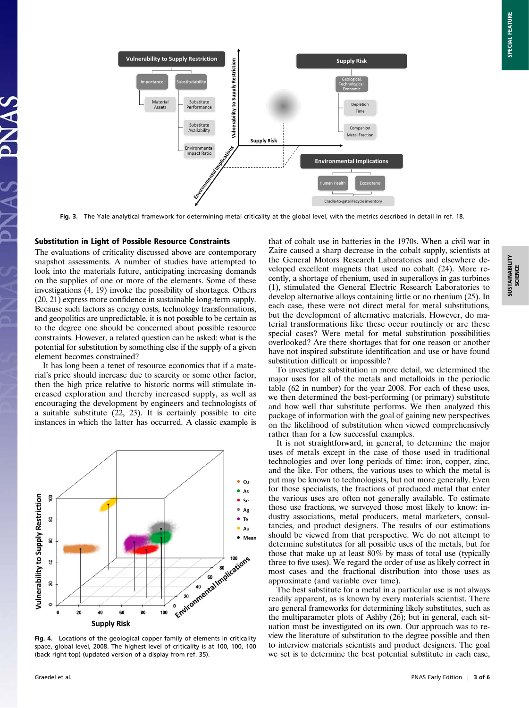

Fig. 3. The Yale analytical framework for determining metal criticality at the global level, with the metrics described in detail in ref. 18.

## Substitution in Light of Possible Resource Constraints

The evaluations of criticality discussed above are contemporary snapshot assessments. A number of studies have attempted to look into the materials future, anticipating increasing demands on the supplies of one or more of the elements. Some of these investigations (4, 19) invoke the possibility of shortages. Others (20, 21) express more confidence in sustainable long-term supply. Because such factors as energy costs, technology transformations, and geopolitics are unpredictable, it is not possible to be certain as to the degree one should be concerned about possible resource constraints. However, a related question can be asked: what is the potential for substitution by something else if the supply of a given element becomes constrained?

It has long been a tenet of resource economics that if a material's price should increase due to scarcity or some other factor, then the high price relative to historic norms will stimulate increased exploration and thereby increased supply, as well as encouraging the development by engineers and technologists of a suitable substitute (22, 23). It is certainly possible to cite instances in which the latter has occurred. A classic example is



Fig. 4. Locations of the geological copper family of elements in criticality space, global level, 2008. The highest level of criticality is at 100, 100, 100 (back right top) (updated version of a display from ref. 35).

that of cobalt use in batteries in the 1970s. When a civil war in Zaire caused a sharp decrease in the cobalt supply, scientists at the General Motors Research Laboratories and elsewhere developed excellent magnets that used no cobalt (24). More recently, a shortage of rhenium, used in superalloys in gas turbines (1), stimulated the General Electric Research Laboratories to develop alternative alloys containing little or no rhenium (25). In each case, these were not direct metal for metal substitutions, but the development of alternative materials. However, do material transformations like these occur routinely or are these special cases? Were metal for metal substitution possibilities overlooked? Are there shortages that for one reason or another have not inspired substitute identification and use or have found substitution difficult or impossible?

To investigate substitution in more detail, we determined the major uses for all of the metals and metalloids in the periodic table (62 in number) for the year 2008. For each of these uses, we then determined the best-performing (or primary) substitute and how well that substitute performs. We then analyzed this package of information with the goal of gaining new perspectives on the likelihood of substitution when viewed comprehensively rather than for a few successful examples.

It is not straightforward, in general, to determine the major uses of metals except in the case of those used in traditional technologies and over long periods of time: iron, copper, zinc, and the like. For others, the various uses to which the metal is put may be known to technologists, but not more generally. Even for those specialists, the fractions of produced metal that enter the various uses are often not generally available. To estimate those use fractions, we surveyed those most likely to know: industry associations, metal producers, metal marketers, consultancies, and product designers. The results of our estimations should be viewed from that perspective. We do not attempt to determine substitutes for all possible uses of the metals, but for those that make up at least  $80\%$  by mass of total use (typically three to five uses). We regard the order of use as likely correct in most cases and the fractional distribution into those uses as approximate (and variable over time).

The best substitute for a metal in a particular use is not always readily apparent, as is known by every materials scientist. There are general frameworks for determining likely substitutes, such as the multiparameter plots of Ashby (26); but in general, each situation must be investigated on its own. Our approach was to review the literature of substitution to the degree possible and then to interview materials scientists and product designers. The goal we set is to determine the best potential substitute in each case,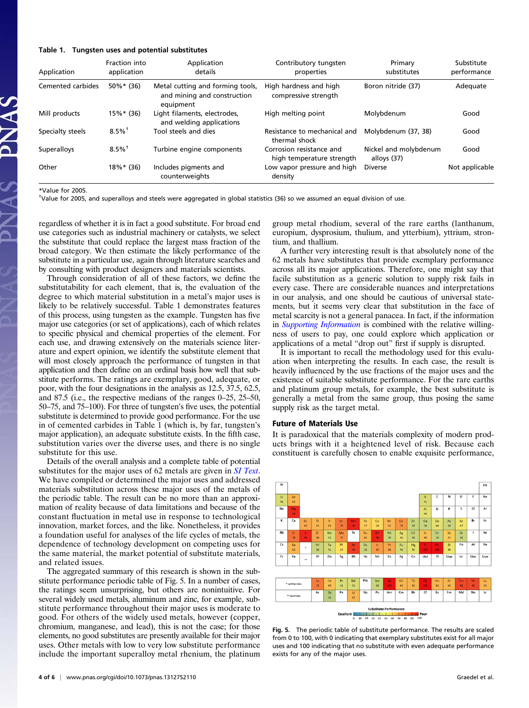#### Table 1. Tungsten uses and potential substitutes

| Application       | Fraction into<br>application | Application<br>details                                                       | Contributory tungsten<br>properties                   | Primary<br>substitutes               | Substitute<br>performance |
|-------------------|------------------------------|------------------------------------------------------------------------------|-------------------------------------------------------|--------------------------------------|---------------------------|
| Cemented carbides | $50\% * (36)$                | Metal cutting and forming tools,<br>and mining and construction<br>equipment | High hardness and high<br>compressive strength        | Boron nitride (37)                   | Adequate                  |
| Mill products     | $15\%*$ (36)                 | Light filaments, electrodes,<br>and welding applications                     | High melting point                                    | Molybdenum                           | Good                      |
| Specialty steels  | $8.5\%$ <sup>†</sup>         | Tool steels and dies                                                         | Resistance to mechanical and<br>thermal shock         | Molybdenum (37, 38)                  | Good                      |
| Superalloys       | $8.5\%$ <sup>†</sup>         | Turbine engine components                                                    | Corrosion resistance and<br>high temperature strength | Nickel and molybdenum<br>alloys (37) | Good                      |
| Other             | $18\%*$ (36)                 | Includes pigments and<br>counterweights                                      | Low vapor pressure and high<br>density                | <b>Diverse</b>                       | Not applicable            |

\*Value for 2005.

† Value for 2005, and superalloys and steels were aggregated in global statistics (36) so we assumed an equal division of use.

regardless of whether it is in fact a good substitute. For broad end use categories such as industrial machinery or catalysts, we select the substitute that could replace the largest mass fraction of the broad category. We then estimate the likely performance of the substitute in a particular use, again through literature searches and by consulting with product designers and materials scientists.

Through consideration of all of these factors, we define the substitutability for each element, that is, the evaluation of the degree to which material substitution in a metal's major uses is likely to be relatively successful. Table 1 demonstrates features of this process, using tungsten as the example. Tungsten has five major use categories (or set of applications), each of which relates to specific physical and chemical properties of the element. For each use, and drawing extensively on the materials science literature and expert opinion, we identify the substitute element that will most closely approach the performance of tungsten in that application and then define on an ordinal basis how well that substitute performs. The ratings are exemplary, good, adequate, or poor, with the four designations in the analysis as 12.5, 37.5, 62.5, and 87.5 (i.e., the respective medians of the ranges 0–25, 25–50, 50–75, and 75–100). For three of tungsten's five uses, the potential substitute is determined to provide good performance. For the use in of cemented carbides in Table 1 (which is, by far, tungsten's major application), an adequate substitute exists. In the fifth case, substitution varies over the diverse uses, and there is no single substitute for this use.

Details of the overall analysis and a complete table of potential substitutes for the major uses of 62 metals are given in *[SI Text](http://www.pnas.org/lookup/suppl/doi:10.1073/pnas.1312752110/-/DCSupplemental/pnas.201312752SI.pdf?targetid=nameddest=STXT)*. We have compiled or determined the major uses and addressed materials substitution across these major uses of the metals of the periodic table. The result can be no more than an approximation of reality because of data limitations and because of the constant fluctuation in metal use in response to technological innovation, market forces, and the like. Nonetheless, it provides a foundation useful for analyses of the life cycles of metals, the dependence of technology development on competing uses for the same material, the market potential of substitute materials, and related issues.

The aggregated summary of this research is shown in the substitute performance periodic table of Fig. 5. In a number of cases, the ratings seem unsurprising, but others are nonintuitive. For several widely used metals, aluminum and zinc, for example, substitute performance throughout their major uses is moderate to good. For others of the widely used metals, however (copper, chromium, manganese, and lead), this is not the case; for those elements, no good substitutes are presently available for their major uses. Other metals with low to very low substitute performance include the important superalloy metal rhenium, the platinum group metal rhodium, several of the rare earths (lanthanum, europium, dysprosium, thulium, and ytterbium), yttrium, strontium, and thallium.

A further very interesting result is that absolutely none of the 62 metals have substitutes that provide exemplary performance across all its major applications. Therefore, one might say that facile substitution as a generic solution to supply risk fails in every case. There are considerable nuances and interpretations in our analysis, and one should be cautious of universal statements, but it seems very clear that substitution in the face of metal scarcity is not a general panacea. In fact, if the information in *[Supporting Information](http://www.pnas.org/lookup/suppl/doi:10.1073/pnas.1312752110/-/DCSupplemental/pnas.201312752SI.pdf?targetid=nameddest=STXT)* is combined with the relative willingness of users to pay, one could explore which application or applications of a metal "drop out" first if supply is disrupted.

It is important to recall the methodology used for this evaluation when interpreting the results. In each case, the result is heavily influenced by the use fractions of the major uses and the existence of suitable substitute performance. For the rare earths and platinum group metals, for example, the best substitute is generally a metal from the same group, thus posing the same supply risk as the target metal.

#### Future of Materials Use

It is paradoxical that the materials complexity of modern products brings with it a heightened level of risk. Because each constituent is carefully chosen to enable exquisite performance,



Fig. 5. The periodic table of substitute performance. The results are scaled from 0 to 100, with 0 indicating that exemplary substitutes exist for all major uses and 100 indicating that no substitute with even adequate performance exists for any of the major uses.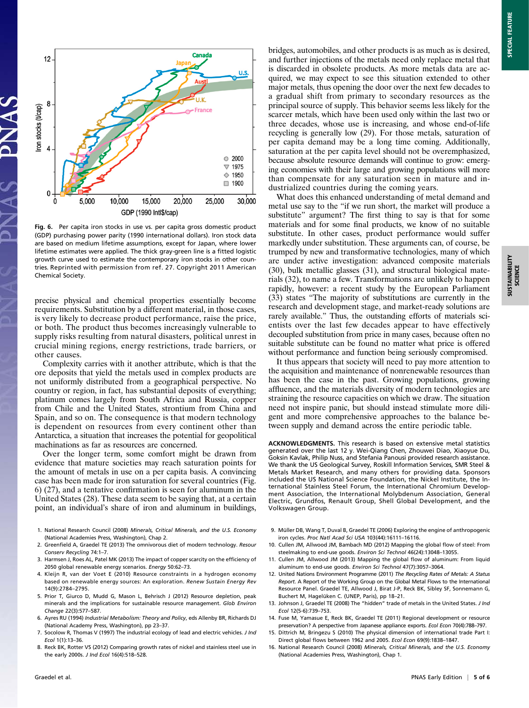

Fig. 6. Per capita iron stocks in use vs. per capita gross domestic product (GDP) purchasing power parity (1990 international dollars). Iron stock data are based on medium lifetime assumptions, except for Japan, where lower lifetime estimates were applied. The thick gray-green line is a fitted logistic growth curve used to estimate the contemporary iron stocks in other countries. Reprinted with permission from ref. 27. Copyright 2011 American Chemical Society.

precise physical and chemical properties essentially become requirements. Substitution by a different material, in those cases, is very likely to decrease product performance, raise the price, or both. The product thus becomes increasingly vulnerable to supply risks resulting from natural disasters, political unrest in crucial mining regions, energy restrictions, trade barriers, or other causes.

Complexity carries with it another attribute, which is that the ore deposits that yield the metals used in complex products are not uniformly distributed from a geographical perspective. No country or region, in fact, has substantial deposits of everything; platinum comes largely from South Africa and Russia, copper from Chile and the United States, strontium from China and Spain, and so on. The consequence is that modern technology is dependent on resources from every continent other than Antarctica, a situation that increases the potential for geopolitical machinations as far as resources are concerned.

Over the longer term, some comfort might be drawn from evidence that mature societies may reach saturation points for the amount of metals in use on a per capita basis. A convincing case has been made for iron saturation for several countries (Fig. 6) (27), and a tentative confirmation is seen for aluminum in the United States (28). These data seem to be saying that, at a certain point, an individual's share of iron and aluminum in buildings,

- 1. National Research Council (2008) Minerals, Critical Minerals, and the U.S. Economy (National Academies Press, Washington), Chap 2.
- 2. Greenfield A, Graedel TE (2013) The omnivorous diet of modern technology. Resour Conserv Recycling 74:1–7.
- 3. Harmsen J, Roes AL, Patel MK (2013) The impact of copper scarcity on the efficiency of 2050 global renewable energy scenarios. Energy 50:62–73.
- 4. Kleijn R, van der Voet E (2010) Resource constraints in a hydrogen economy based on renewable energy sources: An exploration. Renew Sustain Energy Rev 14(9):2784–2795.
- 5. Prior T, Giurco D, Mudd G, Mason L, Behrisch J (2012) Resource depletion, peak minerals and the implications for sustainable resource management. Glob Environ Change 22(3):577–587.
- 6. Ayres RU (1994) Industrial Metabolism: Theory and Policy, eds Allenby BR, Richards DJ (National Academy Press, Washington), pp 23–37.
- 7. Socolow R, Thomas V (1997) The industrial ecology of lead and electric vehicles. J Ind Ecol 1(1):13–36.
- 8. Reck BK, Rotter VS (2012) Comparing growth rates of nickel and stainless steel use in the early 2000s. J Ind Ecol 16(4):518–528.

bridges, automobiles, and other products is as much as is desired, and further injections of the metals need only replace metal that is discarded in obsolete products. As more metals data are acquired, we may expect to see this situation extended to other major metals, thus opening the door over the next few decades to a gradual shift from primary to secondary resources as the principal source of supply. This behavior seems less likely for the scarcer metals, which have been used only within the last two or three decades, whose use is increasing, and whose end-of-life recycling is generally low (29). For those metals, saturation of per capita demand may be a long time coming. Additionally, saturation at the per capita level should not be overemphasized, because absolute resource demands will continue to grow: emerging economies with their large and growing populations will more than compensate for any saturation seen in mature and industrialized countries during the coming years.

What does this enhanced understanding of metal demand and metal use say to the "if we run short, the market will produce a substitute" argument? The first thing to say is that for some materials and for some final products, we know of no suitable substitute. In other cases, product performance would suffer markedly under substitution. These arguments can, of course, be trumped by new and transformative technologies, many of which are under active investigation: advanced composite materials (30), bulk metallic glasses (31), and structural biological materials (32), to name a few. Transformations are unlikely to happen rapidly, however: a recent study by the European Parliament (33) states "The majority of substitutions are currently in the research and development stage, and market-ready solutions are rarely available." Thus, the outstanding efforts of materials scientists over the last few decades appear to have effectively decoupled substitution from price in many cases, because often no suitable substitute can be found no matter what price is offered without performance and function being seriously compromised.

It thus appears that society will need to pay more attention to the acquisition and maintenance of nonrenewable resources than has been the case in the past. Growing populations, growing affluence, and the materials diversity of modern technologies are straining the resource capacities on which we draw. The situation need not inspire panic, but should instead stimulate more diligent and more comprehensive approaches to the balance between supply and demand across the entire periodic table.

ACKNOWLEDGMENTS. This research is based on extensive metal statistics generated over the last 12 y. Wei-Qiang Chen, Zhouwei Diao, Xiaoyue Du, Goksin Kavlak, Philip Nuss, and Stefania Panousi provided research assistance. We thank the US Geological Survey, Roskill Information Services, SMR Steel & Metals Market Research, and many others for providing data. Sponsors included the US National Science Foundation, the Nickel Institute, the International Stainless Steel Forum, the International Chromium Development Association, the International Molybdenum Association, General Electric, Grundfos, Renault Group, Shell Global Development, and the Volkswagen Group.

- 9. Müller DB, Wang T, Duval B, Graedel TE (2006) Exploring the engine of anthropogenic iron cycles. Proc Natl Acad Sci USA 103(44):16111–16116.
- 10. Cullen JM, Allwood JM, Bambach MD (2012) Mapping the global flow of steel: From steelmaking to end-use goods. Environ Sci Technol 46(24):13048–13055.
- 11. Cullen JM, Allwood JM (2013) Mapping the global flow of aluminum: From liquid aluminum to end-use goods. Environ Sci Technol 47(7):3057–3064.
- 12. United Nations Environment Programme (2011) The Recycling Rates of Metals: A Status Report. A Report of the Working Group on the Global Metal Flows to the International Resource Panel. Graedel TE, Allwood J, Birat J-P, Reck BK, Sibley SF, Sonnemann G, Buchert M, Hagelüken C. (UNEP, Paris), pp 18–21.
- 13. Johnson J, Graedel TE (2008) The "hidden" trade of metals in the United States. J Ind Ecol 12(5-6):739–753.
- 14. Fuse M, Yamasue E, Reck BK, Graedel TE (2011) Regional development or resource preservation? A perspective from Japanese appliance exports. Ecol Econ 70(4):788–797.
- 15. Dittrich M, Bringezu S (2010) The physical dimension of international trade Part I: Direct global flows between 1962 and 2005. Ecol Econ 69(9):1838–1847.
- 16. National Research Council (2008) Minerals, Critical Minerals, and the U.S. Economy (National Academies Press, Washington), Chap 1.